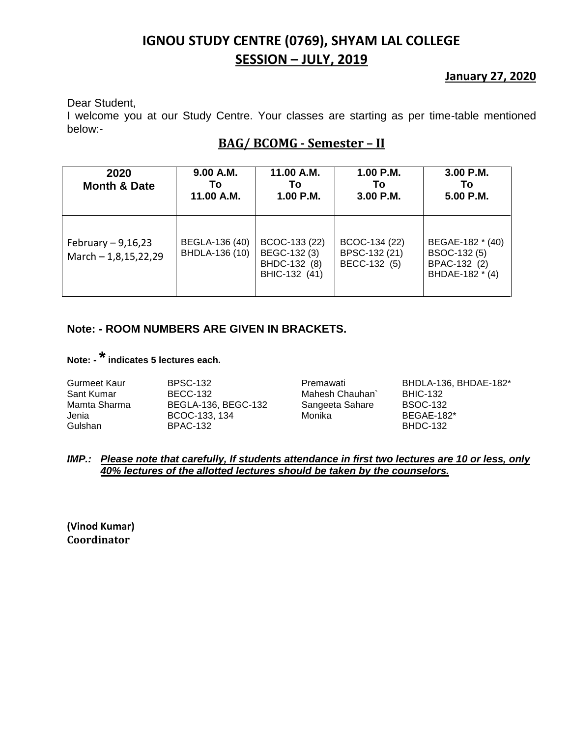# **IGNOU STUDY CENTRE (0769), SHYAM LAL COLLEGE SESSION – JULY, 2019**

### **January 27, 2020**

Dear Student,

I welcome you at our Study Centre. Your classes are starting as per time-table mentioned below:-

### **BAG/ BCOMG - Semester – II**

| 2020<br><b>Month &amp; Date</b>               | 9.00 A.M.<br>То<br>11.00 A.M.    | 11.00 A.M.<br>Т٥<br>1.00 P.M.                                  | $1.00$ P.M.<br>Т٥<br>3.00 P.M.                 | 3.00 P.M.<br>Τo<br>5.00 P.M.                                        |
|-----------------------------------------------|----------------------------------|----------------------------------------------------------------|------------------------------------------------|---------------------------------------------------------------------|
| February $-9,16,23$<br>March $- 1,8,15,22,29$ | BEGLA-136 (40)<br>BHDLA-136 (10) | BCOC-133 (22)<br>BEGC-132 (3)<br>BHDC-132 (8)<br>BHIC-132 (41) | BCOC-134 (22)<br>BPSC-132 (21)<br>BECC-132 (5) | BEGAE-182 * (40)<br>BSOC-132 (5)<br>BPAC-132 (2)<br>BHDAE-182 * (4) |

### **Note: - ROOM NUMBERS ARE GIVEN IN BRACKETS.**

# **Note: -\*indicates 5 lectures each.**

#### *IMP.: Please note that carefully, If students attendance in first two lectures are 10 or less, only 40% lectures of the allotted lectures should be taken by the counselors.*

**(Vinod Kumar) Coordinator**